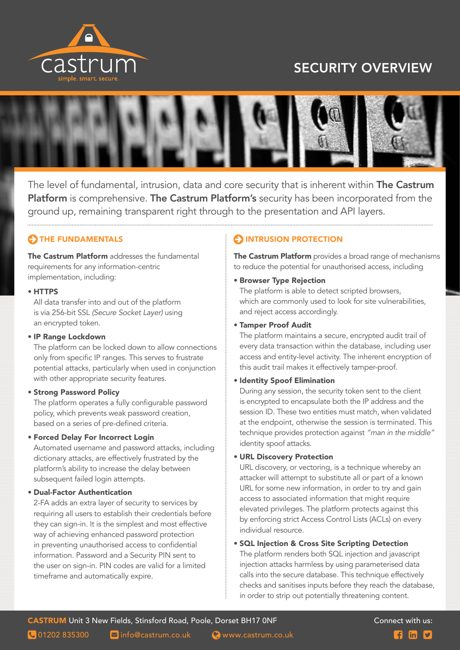

# SECURITY OVERVIEW



The level of fundamental, intrusion, data and core security that is inherent within The Castrum Platform is comprehensive. The Castrum Platform's security has been incorporated from the ground up, remaining transparent right through to the presentation and API layers.

# THE FUNDAMENTALS

The Castrum Platform addresses the fundamental requirements for any information-centric implementation, including:

#### • HTTPS

All data transfer into and out of the platform is via 256-bit SSL *(Secure Socket Layer)* using an encrypted token.

#### • IP Range Lockdown

The platform can be locked down to allow connections only from specific IP ranges. This serves to frustrate potential attacks, particularly when used in conjunction with other appropriate security features.

#### • Strong Password Policy

The platform operates a fully configurable password policy, which prevents weak password creation, based on a series of pre-defined criteria.

#### • Forced Delay For Incorrect Login

Automated username and password attacks, including dictionary attacks, are effectively frustrated by the platform's ability to increase the delay between subsequent failed login attempts.

#### • Dual-Factor Authentication

2-FA adds an extra layer of security to services by requiring all users to establish their credentials before they can sign-in. It is the simplest and most effective way of achieving enhanced password protection in preventing unauthorised access to confidential information. Password and a Security PIN sent to the user on sign-in. PIN codes are valid for a limited timeframe and automatically expire.

## **OINTRUSION PROTECTION**

The Castrum Platform provides a broad range of mechanisms to reduce the potential for unauthorised access, including

#### • Browser Type Rejection

The platform is able to detect scripted browsers, which are commonly used to look for site vulnerabilities, and reject access accordingly.

#### • Tamper Proof Audit

The platform maintains a secure, encrypted audit trail of every data transaction within the database, including user access and entity-level activity. The inherent encryption of this audit trail makes it effectively tamper-proof.

#### • Identity Spoof Elimination

During any session, the security token sent to the client is encrypted to encapsulate both the IP address and the session ID. These two entities must match, when validated at the endpoint, otherwise the session is terminated. This technique provides protection against *"man in the middle"* identity spoof attacks.

#### • URL Discovery Protection

URL discovery, or vectoring, is a technique whereby an attacker will attempt to substitute all or part of a known URL for some new information, in order to try and gain access to associated information that might require elevated privileges. The platform protects against this by enforcing strict Access Control Lists (ACLs) on every individual resource.

#### • SQL Injection & Cross Site Scripting Detection

The platform renders both SQL injection and javascript injection attacks harmless by using parameterised data calls into the secure database. This technique effectively checks and sanitises inputs before they reach the database, in order to strip out potentially threatening content.

```
\blacksquare01202 835300 \blacksquare info@castrum.co.uk \blacksquare www.castrum.co.uk \blacksquare \blacksquare \blacksquare
```